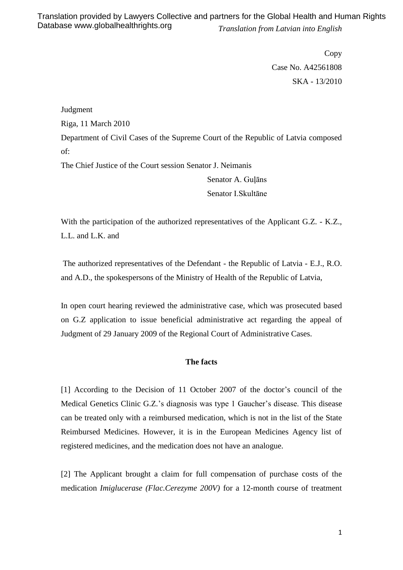Copy Case No. A42561808 SKA - 13/2010

Judgment Riga, 11 March 2010 Department of Civil Cases of the Supreme Court of the Republic of Latvia composed of: The Chief Justice of the Court session Senator J. Neimanis

> Senator A. Guļāns Senator I.Skultāne

With the participation of the authorized representatives of the Applicant G.Z. - K.Z., L.L. and L.K. and

The authorized representatives of the Defendant - the Republic of Latvia - E.J., R.O. and A.D., the spokespersons of the Ministry of Health of the Republic of Latvia,

In open court hearing reviewed the administrative case, which was prosecuted based on G.Z application to issue beneficial administrative act regarding the appeal of Judgment of 29 January 2009 of the Regional Court of Administrative Cases.

## **The facts**

[1] According to the Decision of 11 October 2007 of the doctor's council of the Medical Genetics Clinic G.Z.'s diagnosis was type 1 Gaucher's disease. This disease can be treated only with a reimbursed medication, which is not in the list of the State Reimbursed Medicines. However, it is in the European Medicines Agency list of registered medicines, and the medication does not have an analogue.

[2] The Applicant brought a claim for full compensation of purchase costs of the medication *Imiglucerase (Flac.Cerezyme 200V)* for a 12-month course of treatment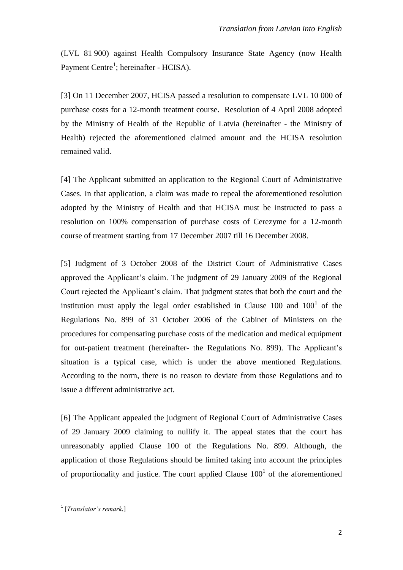(LVL 81 900) against Health Compulsory Insurance State Agency (now Health Payment Centre<sup>1</sup>; hereinafter - HCISA).

[3] On 11 December 2007, HCISA passed a resolution to compensate LVL 10 000 of purchase costs for a 12-month treatment course. Resolution of 4 April 2008 adopted by the Ministry of Health of the Republic of Latvia (hereinafter - the Ministry of Health) rejected the aforementioned claimed amount and the HCISA resolution remained valid.

[4] The Applicant submitted an application to the Regional Court of Administrative Cases. In that application, a claim was made to repeal the aforementioned resolution adopted by the Ministry of Health and that HCISA must be instructed to pass a resolution on 100% compensation of purchase costs of Cerezyme for a 12-month course of treatment starting from 17 December 2007 till 16 December 2008.

[5] Judgment of 3 October 2008 of the District Court of Administrative Cases approved the Applicant's claim. The judgment of 29 January 2009 of the Regional Court rejected the Applicant's claim. That judgment states that both the court and the institution must apply the legal order established in Clause  $100$  and  $100<sup>1</sup>$  of the Regulations No. 899 of 31 October 2006 of the Cabinet of Ministers on the procedures for compensating purchase costs of the medication and medical equipment for out-patient treatment (hereinafter- the Regulations No. 899). The Applicant's situation is a typical case, which is under the above mentioned Regulations. According to the norm, there is no reason to deviate from those Regulations and to issue a different administrative act.

[6] The Applicant appealed the judgment of Regional Court of Administrative Cases of 29 January 2009 claiming to nullify it. The appeal states that the court has unreasonably applied Clause 100 of the Regulations No. 899. Although, the application of those Regulations should be limited taking into account the principles of proportionality and justice. The court applied Clause  $100<sup>1</sup>$  of the aforementioned

**.** 

<sup>1</sup> [*Translator's remark.*]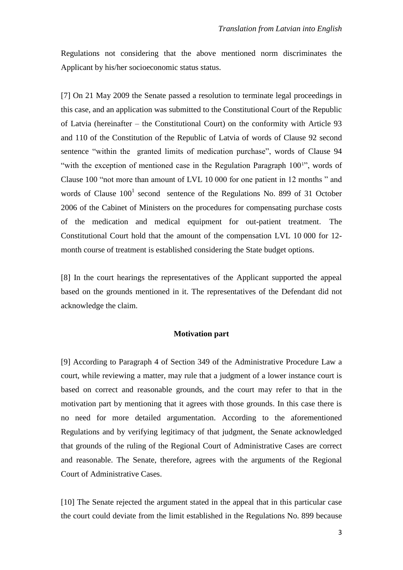Regulations not considering that the above mentioned norm discriminates the Applicant by his/her socioeconomic status status.

[7] On 21 May 2009 the Senate passed a resolution to terminate legal proceedings in this case, and an application was submitted to the Constitutional Court of the Republic of Latvia (hereinafter – the Constitutional Court) on the conformity with Article 93 and 110 of the Constitution of the Republic of Latvia of words of Clause 92 second sentence "within the granted limits of medication purchase", words of Clause 94 "with the exception of mentioned case in the Regulation Paragraph 1001", words of Clause 100 "not more than amount of LVL 10 000 for one patient in 12 months " and words of Clause  $100<sup>1</sup>$  second sentence of the Regulations No. 899 of 31 October 2006 of the Cabinet of Ministers on the procedures for compensating purchase costs of the medication and medical equipment for out-patient treatment. The Constitutional Court hold that the amount of the compensation LVL 10 000 for 12 month course of treatment is established considering the State budget options.

[8] In the court hearings the representatives of the Applicant supported the appeal based on the grounds mentioned in it. The representatives of the Defendant did not acknowledge the claim.

## **Motivation part**

[9] According to Paragraph 4 of Section 349 of the Administrative Procedure Law a court, while reviewing a matter, may rule that a judgment of a lower instance court is based on correct and reasonable grounds, and the court may refer to that in the motivation part by mentioning that it agrees with those grounds. In this case there is no need for more detailed argumentation. According to the aforementioned Regulations and by verifying legitimacy of that judgment, the Senate acknowledged that grounds of the ruling of the Regional Court of Administrative Cases are correct and reasonable. The Senate, therefore, agrees with the arguments of the Regional Court of Administrative Cases.

[10] The Senate rejected the argument stated in the appeal that in this particular case the court could deviate from the limit established in the Regulations No. 899 because